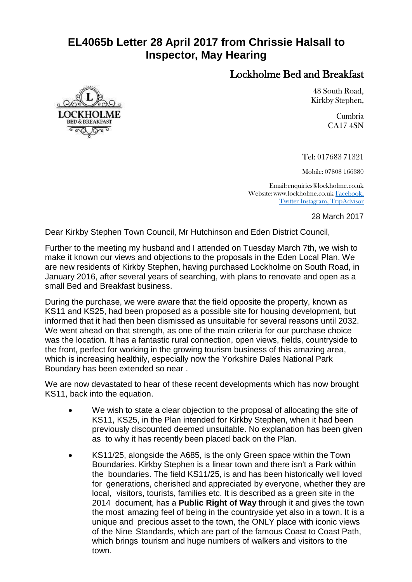## **EL4065b Letter 28 April 2017 from Chrissie Halsall to Inspector, May Hearing**

## Lockholme Bed and Breakfast

48 South Road, Kirkby Stephen,

> Cumbria CA17 4SN

Tel: 017683 71321

Mobile: 07808 166380

Email[:enquiries@lockholme.co.uk](mailto:enquiries@lockholme.co.uk) Website[:www.lockholme.co.uk](http://www.lockholme.co.uk/) Facebook, Twitter Instagram, TripAdvisor

28 March 2017

Dear Kirkby Stephen Town Council, Mr Hutchinson and Eden District Council,

Further to the meeting my husband and I attended on Tuesday March 7th, we wish to make it known our views and objections to the proposals in the Eden Local Plan. We are new residents of Kirkby Stephen, having purchased Lockholme on South Road, in January 2016, after several years of searching, with plans to renovate and open as a small Bed and Breakfast business.

During the purchase, we were aware that the field opposite the property, known as KS11 and KS25, had been proposed as a possible site for housing development, but informed that it had then been dismissed as unsuitable for several reasons until 2032. We went ahead on that strength, as one of the main criteria for our purchase choice was the location. It has a fantastic rural connection, open views, fields, countryside to the front, perfect for working in the growing tourism business of this amazing area, which is increasing healthily, especially now the Yorkshire Dales National Park Boundary has been extended so near .

We are now devastated to hear of these recent developments which has now brought KS11, back into the equation.

- We wish to state a clear objection to the proposal of allocating the site of KS11, KS25, in the Plan intended for Kirkby Stephen, when it had been previously discounted deemed unsuitable. No explanation has been given as to why it has recently been placed back on the Plan.
- KS11/25, alongside the A685, is the only Green space within the Town Boundaries. Kirkby Stephen is a linear town and there isn't a Park within the boundaries. The field KS11/25, is and has been historically well loved for generations, cherished and appreciated by everyone, whether they are local, visitors, tourists, families etc. It is described as a green site in the 2014 document, has a **Public Right of Way** through it and gives the town the most amazing feel of being in the countryside yet also in a town. It is a unique and precious asset to the town, the ONLY place with iconic views of the Nine Standards, which are part of the famous Coast to Coast Path, which brings tourism and huge numbers of walkers and visitors to the town.

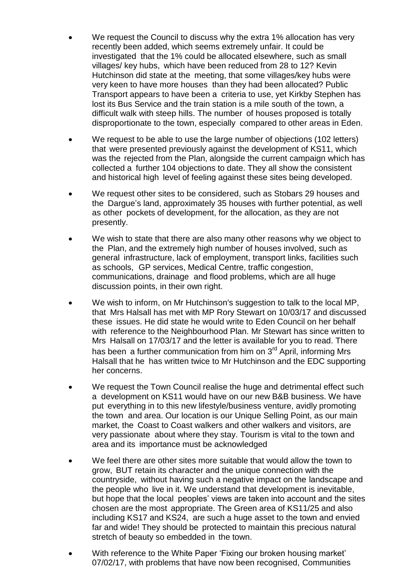- We request the Council to discuss why the extra 1% allocation has very recently been added, which seems extremely unfair. It could be investigated that the 1% could be allocated elsewhere, such as small villages/ key hubs, which have been reduced from 28 to 12? Kevin Hutchinson did state at the meeting, that some villages/key hubs were very keen to have more houses than they had been allocated? Public Transport appears to have been a criteria to use, yet Kirkby Stephen has lost its Bus Service and the train station is a mile south of the town, a difficult walk with steep hills. The number of houses proposed is totally disproportionate to the town, especially compared to other areas in Eden.
- We request to be able to use the large number of objections (102 letters) that were presented previously against the development of KS11, which was the rejected from the Plan, alongside the current campaign which has collected a further 104 objections to date. They all show the consistent and historical high level of feeling against these sites being developed.
- We request other sites to be considered, such as Stobars 29 houses and the Dargue's land, approximately 35 houses with further potential, as well as other pockets of development, for the allocation, as they are not presently.
- We wish to state that there are also many other reasons why we object to the Plan, and the extremely high number of houses involved, such as general infrastructure, lack of employment, transport links, facilities such as schools, GP services, Medical Centre, traffic congestion, communications, drainage and flood problems, which are all huge discussion points, in their own right.
- We wish to inform, on Mr Hutchinson's suggestion to talk to the local MP, that Mrs Halsall has met with MP Rory Stewart on 10/03/17 and discussed these issues. He did state he would write to Eden Council on her behalf with reference to the Neighbourhood Plan. Mr Stewart has since written to Mrs Halsall on 17/03/17 and the letter is available for you to read. There has been a further communication from him on 3<sup>rd</sup> April, informing Mrs Halsall that he has written twice to Mr Hutchinson and the EDC supporting her concerns.
- We request the Town Council realise the huge and detrimental effect such a development on KS11 would have on our new B&B business. We have put everything in to this new lifestyle/business venture, avidly promoting the town and area. Our location is our Unique Selling Point, as our main market, the Coast to Coast walkers and other walkers and visitors, are very passionate about where they stay. Tourism is vital to the town and area and its importance must be acknowledged
- We feel there are other sites more suitable that would allow the town to grow, BUT retain its character and the unique connection with the countryside, without having such a negative impact on the landscape and the people who live in it. We understand that development is inevitable, but hope that the local peoples' views are taken into account and the sites chosen are the most appropriate. The Green area of KS11/25 and also including KS17 and KS24, are such a huge asset to the town and envied far and wide! They should be protected to maintain this precious natural stretch of beauty so embedded in the town.
- With reference to the White Paper 'Fixing our broken housing market' 07/02/17, with problems that have now been recognised, Communities